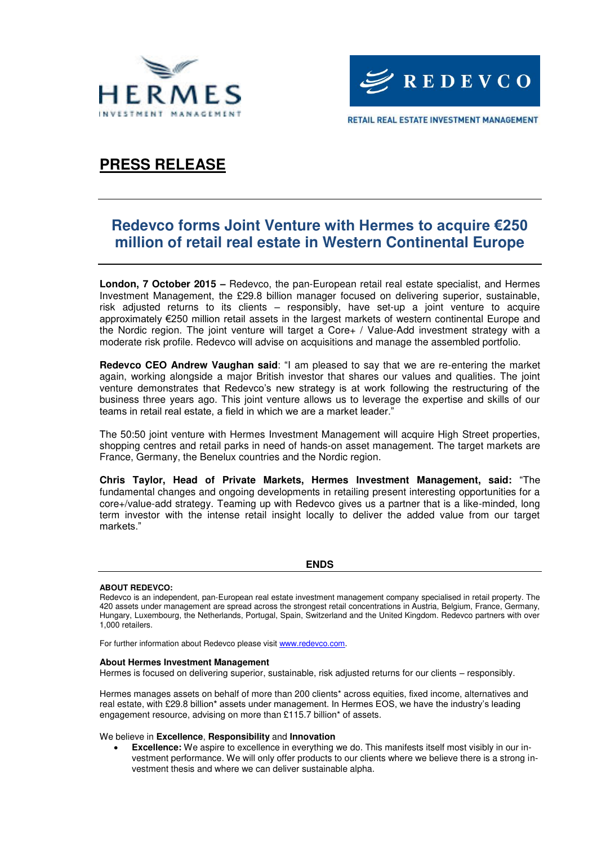



## **PRESS RELEASE**

### **Redevco forms Joint Venture with Hermes to acquire €250 million of retail real estate in Western Continental Europe**

**London, 7 October 2015 –** Redevco, the pan-European retail real estate specialist, and Hermes Investment Management, the £29.8 billion manager focused on delivering superior, sustainable, risk adjusted returns to its clients – responsibly, have set-up a joint venture to acquire approximately €250 million retail assets in the largest markets of western continental Europe and the Nordic region. The joint venture will target a Core+ / Value-Add investment strategy with a moderate risk profile. Redevco will advise on acquisitions and manage the assembled portfolio.

**Redevco CEO Andrew Vaughan said**: "I am pleased to say that we are re-entering the market again, working alongside a major British investor that shares our values and qualities. The joint venture demonstrates that Redevco's new strategy is at work following the restructuring of the business three years ago. This joint venture allows us to leverage the expertise and skills of our teams in retail real estate, a field in which we are a market leader."

The 50:50 joint venture with Hermes Investment Management will acquire High Street properties, shopping centres and retail parks in need of hands-on asset management. The target markets are France, Germany, the Benelux countries and the Nordic region.

**Chris Taylor, Head of Private Markets, Hermes Investment Management, said:** "The fundamental changes and ongoing developments in retailing present interesting opportunities for a core+/value-add strategy. Teaming up with Redevco gives us a partner that is a like-minded, long term investor with the intense retail insight locally to deliver the added value from our target markets."

**ENDS**

### **ABOUT REDEVCO:**

Redevco is an independent, pan-European real estate investment management company specialised in retail property. The 420 assets under management are spread across the strongest retail concentrations in Austria, Belgium, France, Germany, Hungary, Luxembourg, the Netherlands, Portugal, Spain, Switzerland and the United Kingdom. Redevco partners with over 1,000 retailers.

For further information about Redevco please visi[t www.redevco.com.](http://www.redevco.com/)

### **About Hermes Investment Management**

Hermes is focused on delivering superior, sustainable, risk adjusted returns for our clients – responsibly.

Hermes manages assets on behalf of more than 200 clients\* across equities, fixed income, alternatives and real estate, with £29.8 billion\* assets under management. In Hermes EOS, we have the industry's leading engagement resource, advising on more than £115.7 billion\* of assets.

We believe in **Excellence**, **Responsibility** and **Innovation**

 **Excellence:** We aspire to excellence in everything we do. This manifests itself most visibly in our investment performance. We will only offer products to our clients where we believe there is a strong investment thesis and where we can deliver sustainable alpha.